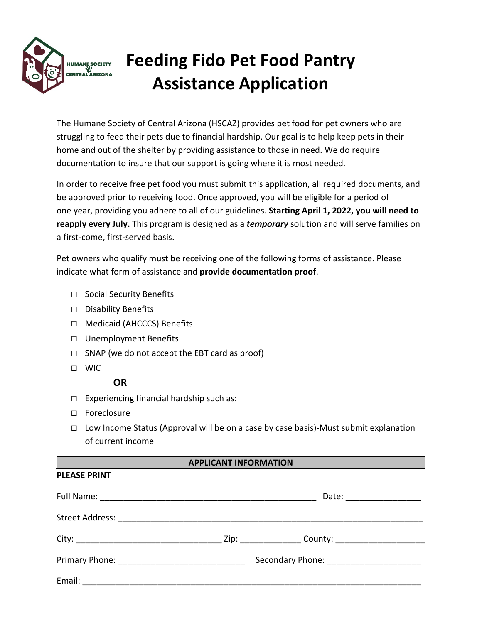

# **Feeding Fido Pet Food Pantry Assistance Application**

The Humane Society of Central Arizona (HSCAZ) provides pet food for pet owners who are struggling to feed their pets due to financial hardship. Our goal is to help keep pets in their home and out of the shelter by providing assistance to those in need. We do require documentation to insure that our support is going where it is most needed.

In order to receive free pet food you must submit this application, all required documents, and be approved prior to receiving food. Once approved, you will be eligible for a period of one year, providing you adhere to all of our guidelines. **Starting April 1, 2022, you will need to reapply every July.** This program is designed as a *temporary* solution and will serve families on a first-come, first-served basis.

Pet owners who qualify must be receiving one of the following forms of assistance. Please indicate what form of assistance and **provide documentation proof**.

- □ Social Security Benefits
- □ Disability Benefits
- □ Medicaid (AHCCCS) Benefits
- □ Unemployment Benefits
- $\Box$  SNAP (we do not accept the EBT card as proof)
- □ WIC

**PLEASE PRINT**

## **OR**

- $\Box$  Experiencing financial hardship such as:
- □ Foreclosure
- □ Low Income Status (Approval will be on a case by case basis)-Must submit explanation of current income

#### **APPLICANT INFORMATION**

|  | Date: ________________                    |
|--|-------------------------------------------|
|  |                                           |
|  |                                           |
|  | Secondary Phone: ________________________ |
|  |                                           |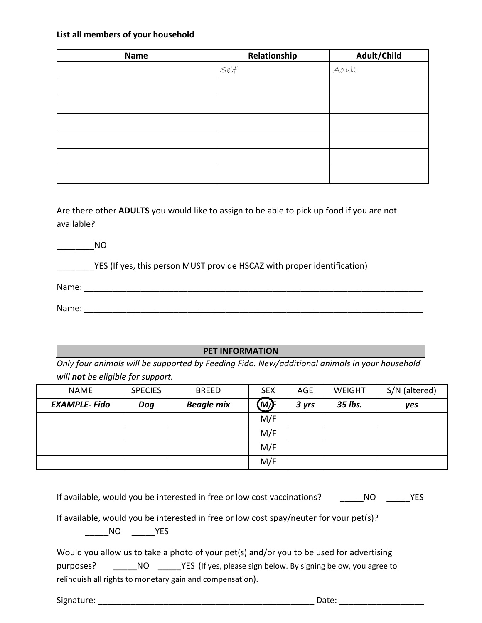#### **List all members of your household**

| <b>Name</b> | Relationship | Adult/Child |
|-------------|--------------|-------------|
|             | Set          | Adult       |
|             |              |             |
|             |              |             |
|             |              |             |
|             |              |             |
|             |              |             |
|             |              |             |

Are there other **ADULTS** you would like to assign to be able to pick up food if you are not available?

|       | NO.                                                                     |
|-------|-------------------------------------------------------------------------|
|       | YES (If yes, this person MUST provide HSCAZ with proper identification) |
|       |                                                                         |
| Name: |                                                                         |

### **PET INFORMATION**

*Only four animals will be supported by Feeding Fido. New/additional animals in your household will not be eligible for support.*

| <b>NAME</b>         | <b>SPECIES</b> | <b>BREED</b>      | <b>SEX</b> | <b>AGE</b> | <b>WEIGHT</b> | S/N (altered) |
|---------------------|----------------|-------------------|------------|------------|---------------|---------------|
| <b>EXAMPLE-Fido</b> | Dog            | <b>Beagle mix</b> | (M)F       | 3 yrs      | 35 lbs.       | yes           |
|                     |                |                   | M/F        |            |               |               |
|                     |                |                   | M/F        |            |               |               |
|                     |                |                   | M/F        |            |               |               |
|                     |                |                   | M/F        |            |               |               |

| If available, would you be interested in free or low cost vaccinations? | NO. | <b>YES</b> |
|-------------------------------------------------------------------------|-----|------------|
|-------------------------------------------------------------------------|-----|------------|

If available, would you be interested in free or low cost spay/neuter for your pet(s)?

\_\_\_\_\_NO \_\_\_\_\_YES

Would you allow us to take a photo of your pet(s) and/or you to be used for advertising purposes? \_\_\_\_\_\_NO \_\_\_\_\_YES (If yes, please sign below. By signing below, you agree to relinquish all rights to monetary gain and compensation).

Signature: \_\_\_\_\_\_\_\_\_\_\_\_\_\_\_\_\_\_\_\_\_\_\_\_\_\_\_\_\_\_\_\_\_\_\_\_\_\_\_\_\_\_\_\_\_\_ Date: \_\_\_\_\_\_\_\_\_\_\_\_\_\_\_\_\_\_